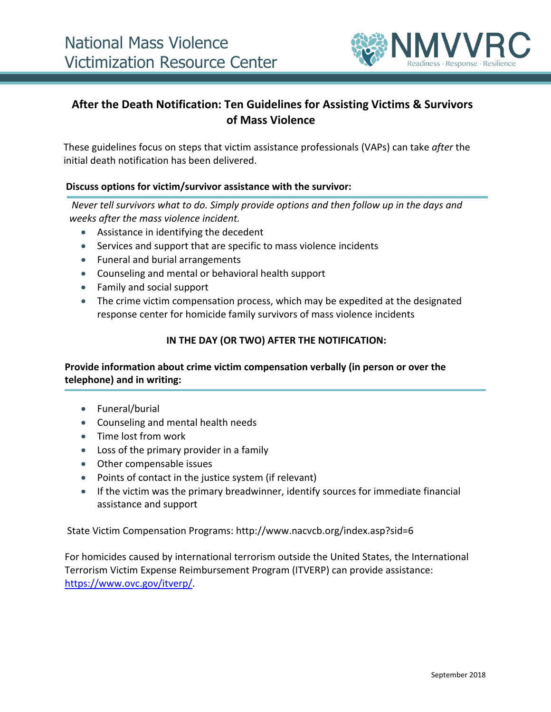

# **After the Death Notification: Ten Guidelines for Assisting Victims & Survivors of Mass Violence**

These guidelines focus on steps that victim assistance professionals (VAPs) can take *after* the initial death notification has been delivered.

#### **Discuss options for victim/survivor assistance with the survivor:**

*Never tell survivors what to do. Simply provide options and then follow up in the days and weeks after the mass violence incident.* 

- Assistance in identifying the decedent
- Services and support that are specific to mass violence incidents
- Funeral and burial arrangements
- Counseling and mental or behavioral health support
- Family and social support
- The crime victim compensation process, which may be expedited at the designated response center for homicide family survivors of mass violence incidents

#### **IN THE DAY (OR TWO) AFTER THE NOTIFICATION:**

## **Provide information about crime victim compensation verbally (in person or over the telephone) and in writing:**

- Funeral/burial
- Counseling and mental health needs
- Time lost from work
- Loss of the primary provider in a family
- Other compensable issues
- Points of contact in the justice system (if relevant)
- If the victim was the primary breadwinner, identify sources for immediate financial assistance and support

State Victim Compensation Programs: http://www.nacvcb.org/index.asp?sid=6

For homicides caused by international terrorism outside the United States, the International Terrorism Victim Expense Reimbursement Program (ITVERP) can provide assistance: [https://www.ovc.gov/itverp/.](https://www.ovc.gov/itverp/)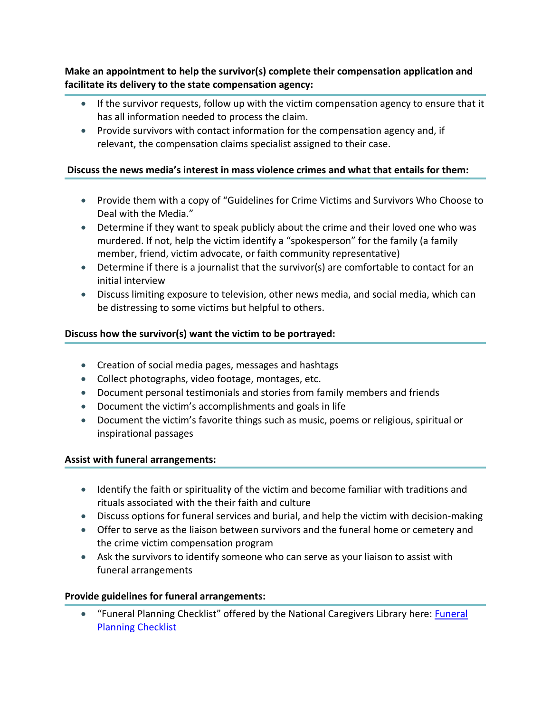**Make an appointment to help the survivor(s) complete their compensation application and facilitate its delivery to the state compensation agency:**

- If the survivor requests, follow up with the victim compensation agency to ensure that it has all information needed to process the claim.
- Provide survivors with contact information for the compensation agency and, if relevant, the compensation claims specialist assigned to their case.

## **Discuss the news media's interest in mass violence crimes and what that entails for them:**

- Provide them with a copy of "Guidelines for Crime Victims and Survivors Who Choose to Deal with the Media."
- Determine if they want to speak publicly about the crime and their loved one who was murdered. If not, help the victim identify a "spokesperson" for the family (a family member, friend, victim advocate, or faith community representative)
- Determine if there is a journalist that the survivor(s) are comfortable to contact for an initial interview
- Discuss limiting exposure to television, other news media, and social media, which can be distressing to some victims but helpful to others.

## **Discuss how the survivor(s) want the victim to be portrayed:**

- Creation of social media pages, messages and hashtags
- Collect photographs, video footage, montages, etc.
- Document personal testimonials and stories from family members and friends
- Document the victim's accomplishments and goals in life
- Document the victim's favorite things such as music, poems or religious, spiritual or inspirational passages

## **Assist with funeral arrangements:**

- Identify the faith or spirituality of the victim and become familiar with traditions and rituals associated with the their faith and culture
- Discuss options for funeral services and burial, and help the victim with decision-making
- Offer to serve as the liaison between survivors and the funeral home or cemetery and the crime victim compensation program
- Ask the survivors to identify someone who can serve as your liaison to assist with funeral arrangements

## **Provide guidelines for funeral arrangements:**

 "Funeral Planning Checklist" offered by the National Caregivers Library here: [Funeral](http://www.caregiverslibrary.org/portals/0/checklistsandforms_funeralplanningchecklist.pdf)  [Planning Checklist](http://www.caregiverslibrary.org/portals/0/checklistsandforms_funeralplanningchecklist.pdf)